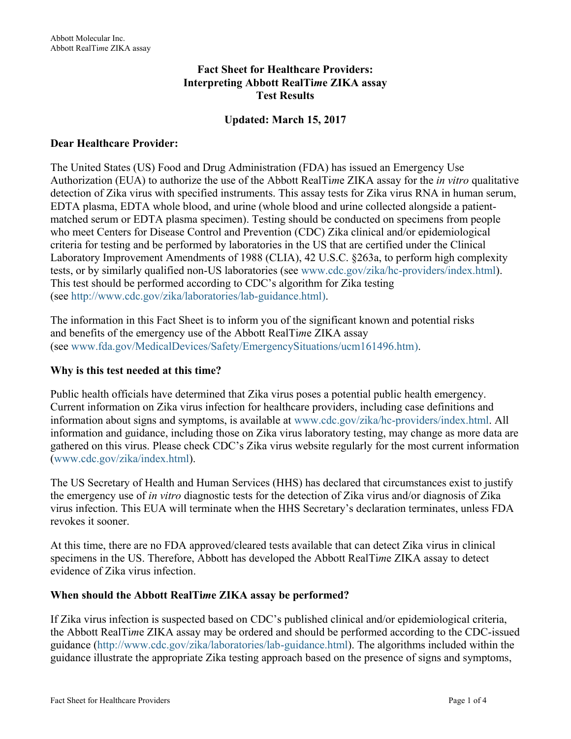### **Fact Sheet for Healthcare Providers: Interpreting Abbott RealTi***m***e ZIKA assay Test Results**

## **Updated: March 15, 2017**

#### **Dear Healthcare Provider:**

The United States (US) Food and Drug Administration (FDA) has issued an Emergency Use Authorization (EUA) to authorize the use of the Abbott RealTi*m*e ZIKA assay for the *in vitro* qualitative detection of Zika virus with specified instruments. This assay tests for Zika virus RNA in human serum, EDTA plasma, EDTA whole blood, and urine (whole blood and urine collected alongside a patientmatched serum or EDTA plasma specimen). Testing should be conducted on specimens from people who meet Centers for Disease Control and Prevention (CDC) Zika clinical and/or epidemiological criteria for testing and be performed by laboratories in the US that are certified under the Clinical Laboratory Improvement Amendments of 1988 (CLIA), 42 U.S.C. §263a, to perform high complexity tests, or by similarly qualified non-US laboratories (see [www.cdc.gov/zika/hc-providers/index.html\).](http://www.cdc.gov/zika/hc-providers/index.html)  This test should be performed according to CDC's algorithm for Zika testing (see [http://www.cdc.gov/zika/laboratories/lab-guidance.html\).](http://www.cdc.gov/zika/laboratories/lab-guidance.html)

The information in this Fact Sheet is to inform you of the significant known and potential risks and benefits of the emergency use of the Abbott RealTi*m*e ZIKA assay (see [www.fda.gov/MedicalDevices/Safety/EmergencySituations/ucm161496.htm\).](http://www.fda.gov/MedicalDevices/Safety/EmergencySituations/ucm161496.htm)

#### **Why is this test needed at this time?**

Public health officials have determined that Zika virus poses a potential public health emergency. Current information on Zika virus infection for healthcare providers, including case definitions and information about signs and symptoms, is available at [www.cdc.gov/zika/hc-providers/index.html. All](http://www.cdc.gov/zika/hc-providers/index.html)  information and guidance, including those on Zika virus laboratory testing, may change as more data are gathered on this virus. Please check CDC's Zika virus website regularly for the most current information ([www.cdc.gov/zika/index.html\).](http://www.cdc.gov/zika/index.html)

The US Secretary of Health and Human Services (HHS) has declared that circumstances exist to justify the emergency use of *in vitro* diagnostic tests for the detection of Zika virus and/or diagnosis of Zika virus infection. This EUA will terminate when the HHS Secretary's declaration terminates, unless FDA revokes it sooner.

At this time, there are no FDA approved/cleared tests available that can detect Zika virus in clinical specimens in the US. Therefore, Abbott has developed the Abbott RealTi*m*e ZIKA assay to detect evidence of Zika virus infection.

#### **When should the Abbott RealTi***m***e ZIKA assay be performed?**

If Zika virus infection is suspected based on CDC's published clinical and/or epidemiological criteria, the Abbott RealTi*m*e ZIKA assay may be ordered and should be performed according to the CDC-issued guidance [\(http://www.cdc.gov/zika/laboratories/lab-guidance.html](http://www.cdc.gov/zika/laboratories/lab-guidance.html)). The algorithms included within the guidance illustrate the appropriate Zika testing approach based on the presence of signs and symptoms,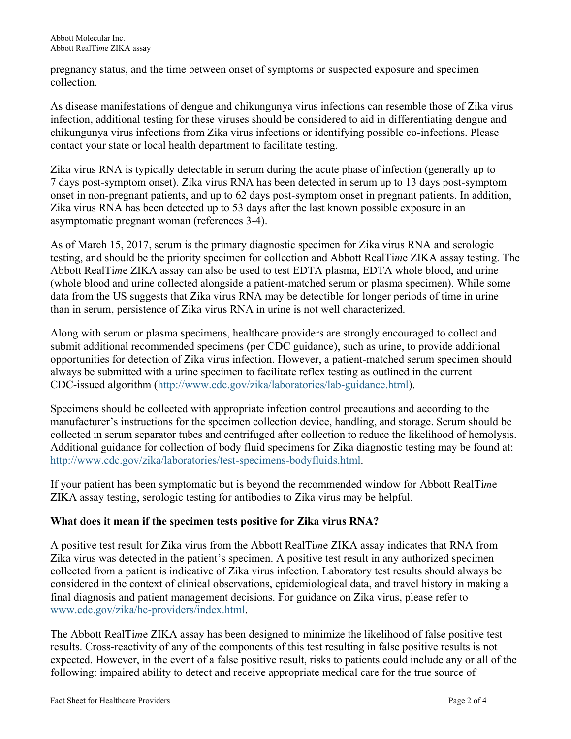pregnancy status, and the time between onset of symptoms or suspected exposure and specimen collection.

As disease manifestations of dengue and chikungunya virus infections can resemble those of Zika virus infection, additional testing for these viruses should be considered to aid in differentiating dengue and chikungunya virus infections from Zika virus infections or identifying possible co-infections. Please contact your state or local health department to facilitate testing.

Zika virus RNA is typically detectable in serum during the acute phase of infection (generally up to 7 days post-symptom onset). Zika virus RNA has been detected in serum up to 13 days post-symptom onset in non-pregnant patients, and up to 62 days post-symptom onset in pregnant patients. In addition, Zika virus RNA has been detected up to 53 days after the last known possible exposure in an asymptomatic pregnant woman (references 3-4).

As of March 15, 2017, serum is the primary diagnostic specimen for Zika virus RNA and serologic testing, and should be the priority specimen for collection and Abbott RealTi*m*e ZIKA assay testing. The Abbott RealTi*m*e ZIKA assay can also be used to test EDTA plasma, EDTA whole blood, and urine (whole blood and urine collected alongside a patient-matched serum or plasma specimen). While some data from the US suggests that Zika virus RNA may be detectible for longer periods of time in urine than in serum, persistence of Zika virus RNA in urine is not well characterized.

Along with serum or plasma specimens, healthcare providers are strongly encouraged to collect and submit additional recommended specimens (per CDC guidance), such as urine, to provide additional opportunities for detection of Zika virus infection. However, a patient-matched serum specimen should always be submitted with a urine specimen to facilitate reflex testing as outlined in the current CDC-issued algorithm (<http://www.cdc.gov/zika/laboratories/lab-guidance.html>).

Specimens should be collected with appropriate infection control precautions and according to the manufacturer's instructions for the specimen collection device, handling, and storage. Serum should be collected in serum separator tubes and centrifuged after collection to reduce the likelihood of hemolysis. Additional guidance for collection of body fluid specimens for Zika diagnostic testing may be found at: <http://www.cdc.gov/zika/laboratories/test-specimens-bodyfluids.html>.

If your patient has been symptomatic but is beyond the recommended window for Abbott RealTi*m*e ZIKA assay testing, serologic testing for antibodies to Zika virus may be helpful.

# **What does it mean if the specimen tests positive for Zika virus RNA?**

A positive test result for Zika virus from the Abbott RealTi*m*e ZIKA assay indicates that RNA from Zika virus was detected in the patient's specimen. A positive test result in any authorized specimen collected from a patient is indicative of Zika virus infection. Laboratory test results should always be considered in the context of clinical observations, epidemiological data, and travel history in making a final diagnosis and patient management decisions. For guidance on Zika virus, please refer to [www.cdc.gov/zika/hc-providers/index.html](http://www.cdc.gov/zika/hc-providers/index.html).

The Abbott RealTi*m*e ZIKA assay has been designed to minimize the likelihood of false positive test results. Cross-reactivity of any of the components of this test resulting in false positive results is not expected. However, in the event of a false positive result, risks to patients could include any or all of the following: impaired ability to detect and receive appropriate medical care for the true source of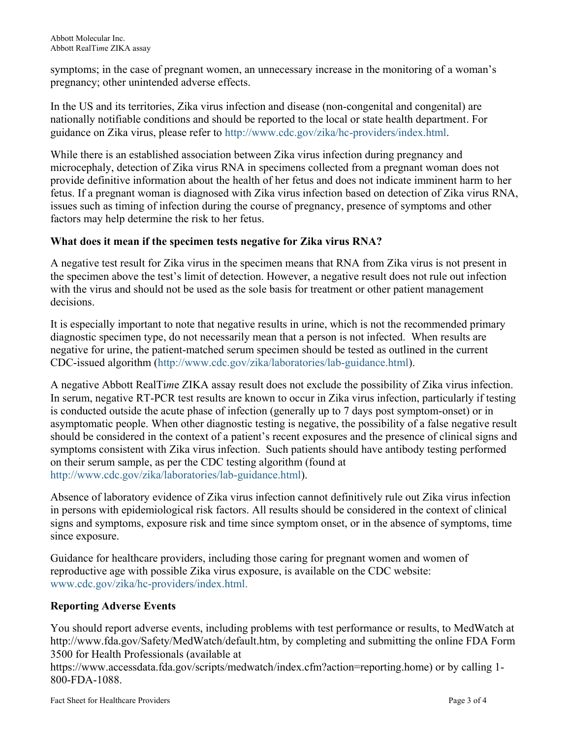symptoms; in the case of pregnant women, an unnecessary increase in the monitoring of a woman's pregnancy; other unintended adverse effects.

In the US and its territories, Zika virus infection and disease (non-congenital and congenital) are nationally notifiable conditions and should be reported to the local or state health department. For guidance on Zika virus, please refer to [http://www.cdc.gov/zika/hc-providers/index.html.](http://www.cdc.gov/zika/hc-providers/index.html)

While there is an established association between Zika virus infection during pregnancy and microcephaly, detection of Zika virus RNA in specimens collected from a pregnant woman does not provide definitive information about the health of her fetus and does not indicate imminent harm to her fetus. If a pregnant woman is diagnosed with Zika virus infection based on detection of Zika virus RNA, issues such as timing of infection during the course of pregnancy, presence of symptoms and other factors may help determine the risk to her fetus.

## **What does it mean if the specimen tests negative for Zika virus RNA?**

A negative test result for Zika virus in the specimen means that RNA from Zika virus is not present in the specimen above the test's limit of detection. However, a negative result does not rule out infection with the virus and should not be used as the sole basis for treatment or other patient management decisions.

It is especially important to note that negative results in urine, which is not the recommended primary diagnostic specimen type, do not necessarily mean that a person is not infected. When results are negative for urine, the patient-matched serum specimen should be tested as outlined in the current CDC-issued algorithm ([http://www.cdc.gov/zika/laboratories/lab-guidance.html\).](http://www.cdc.gov/zika/laboratories/lab-guidance.html) 

A negative Abbott RealTi*m*e ZIKA assay result does not exclude the possibility of Zika virus infection. In serum, negative RT-PCR test results are known to occur in Zika virus infection, particularly if testing is conducted outside the acute phase of infection (generally up to 7 days post symptom-onset) or in asymptomatic people. When other diagnostic testing is negative, the possibility of a false negative result should be considered in the context of a patient's recent exposures and the presence of clinical signs and symptoms consistent with Zika virus infection. Such patients should have antibody testing performed on their serum sample, as per the CDC testing algorithm (found at <http://www.cdc.gov/zika/laboratories/lab-guidance.html>).

Absence of laboratory evidence of Zika virus infection cannot definitively rule out Zika virus infection in persons with epidemiological risk factors. All results should be considered in the context of clinical signs and symptoms, exposure risk and time since symptom onset, or in the absence of symptoms, time since exposure.

Guidance for healthcare providers, including those caring for pregnant women and women of reproductive age with possible Zika virus exposure, is available on the CDC website: [www.cdc.gov/zika/hc-providers/index.html](http://www.cdc.gov/zika/hc-providers/index.html).

## **Reporting Adverse Events**

You should report adverse events, including problems with test performance or results, to MedWatch at http://www.fda.gov/Safety/MedWatch/default.htm, by completing and submitting the online FDA Form 3500 for Health Professionals (available at

https://www.accessdata.fda.gov/scripts/medwatch/index.cfm?action=reporting.home) or by calling 1- 800-FDA-1088.